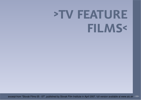## **>TV FEATUREFILMS<**

excerpt from "Slovak Films 05 - 07", published by Slovak Film Institute in April 2007, full version available at www.aic.sk >39<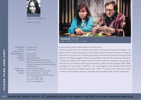

**zuzana liová [1977]**>< **2005:** ticho [tv]





**SILENCE** TICHO2005 >< hdcam >< col. >< 72 min.

A story about family relationships revived by love.

Marta and Jozef have four children. When Marta isn't busy working at the bakery, she spends all her energy taking care of the children. Jozef is forced to travel to Prague to find work. He is torn from his family physically and emotionally and finds the way back difficult. The oldest daughter Lenka has just fallen in love for the first time with Karol, a university student. Her brother and his friends entertain themselves by spying on local lovers in an old barn. Nine-year old Katka is jealous of the youngest child, Milka, and fights for her mother's attention. The story begins at the moment when Marta tells Jozef that she is pregnant again with a fifth. The events that follow test everymember of the family's patience, strength and ultimately their love for each other.